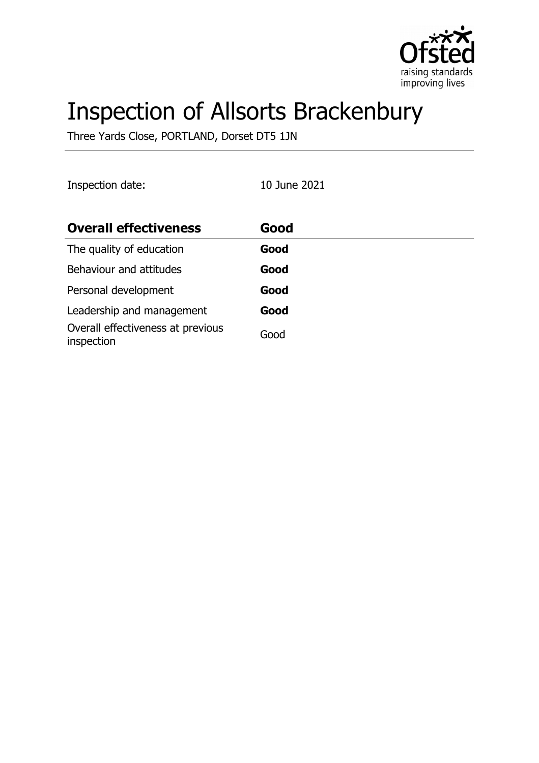

# Inspection of Allsorts Brackenbury

Three Yards Close, PORTLAND, Dorset DT5 1JN

| Inspection date:                                | 10 June 2021 |
|-------------------------------------------------|--------------|
| <b>Overall effectiveness</b>                    | Good         |
| The quality of education                        | Good         |
| Behaviour and attitudes                         | Good         |
| Personal development                            | Good         |
| Leadership and management                       | Good         |
| Overall effectiveness at previous<br>inspection | Good         |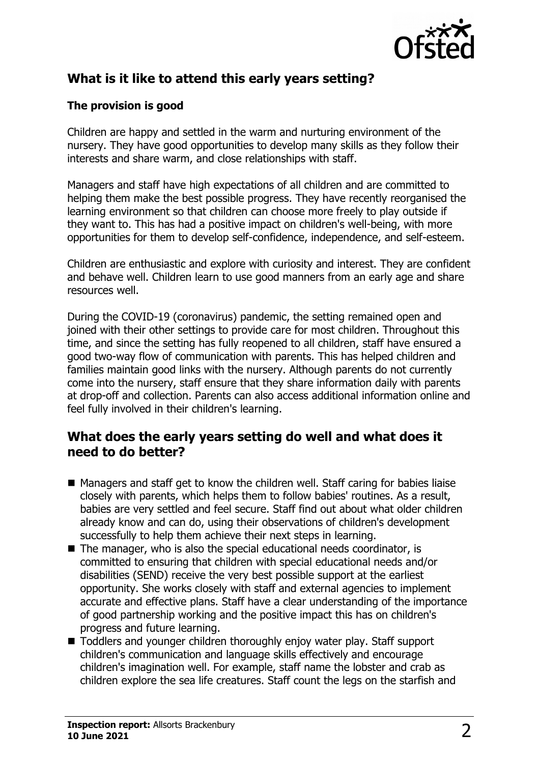

# **What is it like to attend this early years setting?**

#### **The provision is good**

Children are happy and settled in the warm and nurturing environment of the nursery. They have good opportunities to develop many skills as they follow their interests and share warm, and close relationships with staff.

Managers and staff have high expectations of all children and are committed to helping them make the best possible progress. They have recently reorganised the learning environment so that children can choose more freely to play outside if they want to. This has had a positive impact on children's well-being, with more opportunities for them to develop self-confidence, independence, and self-esteem.

Children are enthusiastic and explore with curiosity and interest. They are confident and behave well. Children learn to use good manners from an early age and share resources well.

During the COVID-19 (coronavirus) pandemic, the setting remained open and joined with their other settings to provide care for most children. Throughout this time, and since the setting has fully reopened to all children, staff have ensured a good two-way flow of communication with parents. This has helped children and families maintain good links with the nursery. Although parents do not currently come into the nursery, staff ensure that they share information daily with parents at drop-off and collection. Parents can also access additional information online and feel fully involved in their children's learning.

## **What does the early years setting do well and what does it need to do better?**

- $\blacksquare$  Managers and staff get to know the children well. Staff caring for babies liaise closely with parents, which helps them to follow babies' routines. As a result, babies are very settled and feel secure. Staff find out about what older children already know and can do, using their observations of children's development successfully to help them achieve their next steps in learning.
- $\blacksquare$  The manager, who is also the special educational needs coordinator, is committed to ensuring that children with special educational needs and/or disabilities (SEND) receive the very best possible support at the earliest opportunity. She works closely with staff and external agencies to implement accurate and effective plans. Staff have a clear understanding of the importance of good partnership working and the positive impact this has on children's progress and future learning.
- Toddlers and younger children thoroughly enjoy water play. Staff support children's communication and language skills effectively and encourage children's imagination well. For example, staff name the lobster and crab as children explore the sea life creatures. Staff count the legs on the starfish and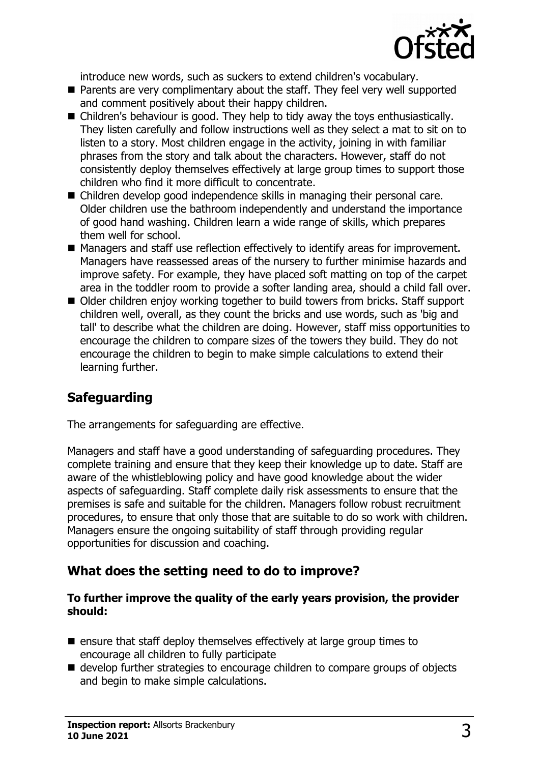

introduce new words, such as suckers to extend children's vocabulary.

- $\blacksquare$  Parents are very complimentary about the staff. They feel very well supported and comment positively about their happy children.
- $\blacksquare$  Children's behaviour is good. They help to tidy away the toys enthusiastically. They listen carefully and follow instructions well as they select a mat to sit on to listen to a story. Most children engage in the activity, joining in with familiar phrases from the story and talk about the characters. However, staff do not consistently deploy themselves effectively at large group times to support those children who find it more difficult to concentrate.
- $\blacksquare$  Children develop good independence skills in managing their personal care. Older children use the bathroom independently and understand the importance of good hand washing. Children learn a wide range of skills, which prepares them well for school.
- Managers and staff use reflection effectively to identify areas for improvement. Managers have reassessed areas of the nursery to further minimise hazards and improve safety. For example, they have placed soft matting on top of the carpet area in the toddler room to provide a softer landing area, should a child fall over.
- Older children enjoy working together to build towers from bricks. Staff support children well, overall, as they count the bricks and use words, such as 'big and tall' to describe what the children are doing. However, staff miss opportunities to encourage the children to compare sizes of the towers they build. They do not encourage the children to begin to make simple calculations to extend their learning further.

# **Safeguarding**

The arrangements for safeguarding are effective.

Managers and staff have a good understanding of safeguarding procedures. They complete training and ensure that they keep their knowledge up to date. Staff are aware of the whistleblowing policy and have good knowledge about the wider aspects of safeguarding. Staff complete daily risk assessments to ensure that the premises is safe and suitable for the children. Managers follow robust recruitment procedures, to ensure that only those that are suitable to do so work with children. Managers ensure the ongoing suitability of staff through providing regular opportunities for discussion and coaching.

## **What does the setting need to do to improve?**

#### **To further improve the quality of the early years provision, the provider should:**

- $\blacksquare$  ensure that staff deploy themselves effectively at large group times to encourage all children to fully participate
- $\blacksquare$  develop further strategies to encourage children to compare groups of objects and begin to make simple calculations.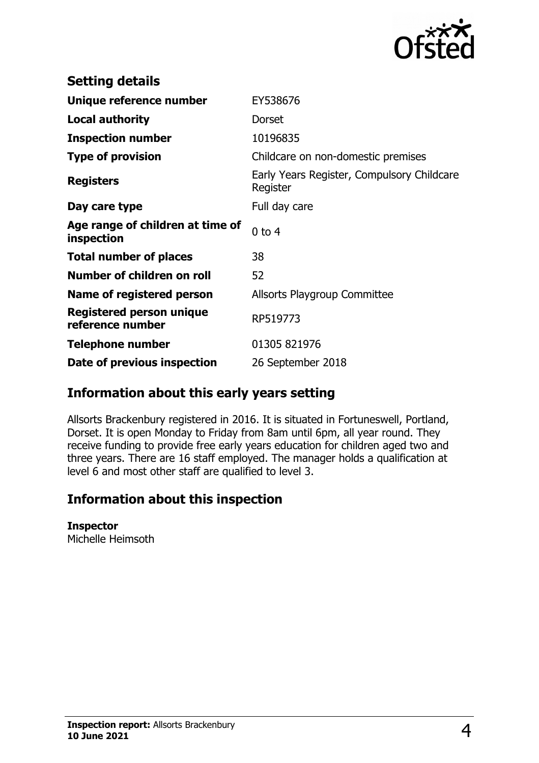

| <b>Setting details</b>                              |                                                        |
|-----------------------------------------------------|--------------------------------------------------------|
| Unique reference number                             | EY538676                                               |
| <b>Local authority</b>                              | Dorset                                                 |
| <b>Inspection number</b>                            | 10196835                                               |
| <b>Type of provision</b>                            | Childcare on non-domestic premises                     |
| <b>Registers</b>                                    | Early Years Register, Compulsory Childcare<br>Register |
| Day care type                                       | Full day care                                          |
| Age range of children at time of<br>inspection      | $0$ to $4$                                             |
| <b>Total number of places</b>                       | 38                                                     |
| Number of children on roll                          | 52                                                     |
| Name of registered person                           | Allsorts Playgroup Committee                           |
| <b>Registered person unique</b><br>reference number | RP519773                                               |
| <b>Telephone number</b>                             | 01305 821976                                           |
| Date of previous inspection                         | 26 September 2018                                      |

## **Information about this early years setting**

Allsorts Brackenbury registered in 2016. It is situated in Fortuneswell, Portland, Dorset. It is open Monday to Friday from 8am until 6pm, all year round. They receive funding to provide free early years education for children aged two and three years. There are 16 staff employed. The manager holds a qualification at level 6 and most other staff are qualified to level 3.

## **Information about this inspection**

#### **Inspector**

Michelle Heimsoth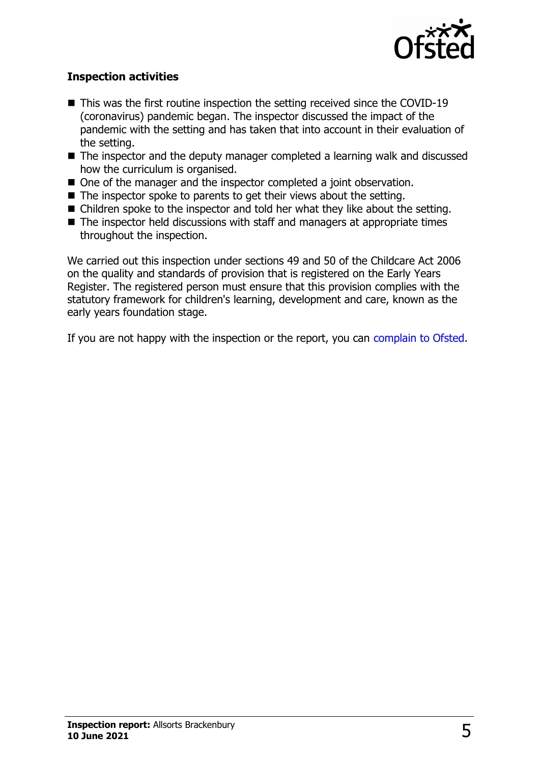

#### **Inspection activities**

- $\blacksquare$  This was the first routine inspection the setting received since the COVID-19 (coronavirus) pandemic began. The inspector discussed the impact of the pandemic with the setting and has taken that into account in their evaluation of the setting.
- $\blacksquare$  The inspector and the deputy manager completed a learning walk and discussed how the curriculum is organised.
- One of the manager and the inspector completed a joint observation.
- $\blacksquare$  The inspector spoke to parents to get their views about the setting.
- $\blacksquare$  Children spoke to the inspector and told her what they like about the setting.
- $\blacksquare$  The inspector held discussions with staff and managers at appropriate times throughout the inspection.

We carried out this inspection under sections 49 and 50 of the Childcare Act 2006 on the quality and standards of provision that is registered on the Early Years Register. The registered person must ensure that this provision complies with the statutory framework for children's learning, development and care, known as the early years foundation stage.

If you are not happy with the inspection or the report, you can [complain to Ofsted.](http://www.gov.uk/complain-ofsted-report)